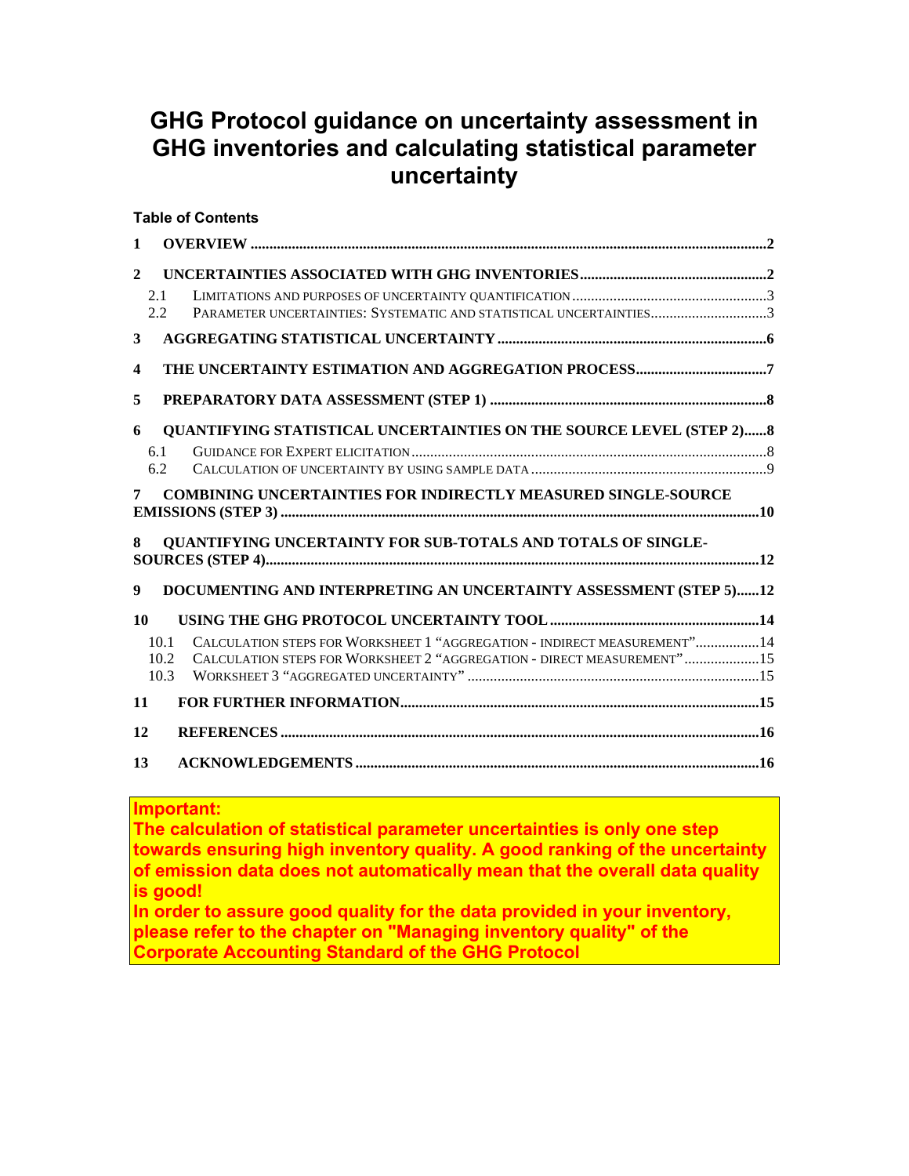# **GHG Protocol guidance on uncertainty assessment in GHG inventories and calculating statistical parameter uncertainty**

|                         |      | <b>Table of Contents</b>                                                    |
|-------------------------|------|-----------------------------------------------------------------------------|
| $\mathbf{1}$            |      |                                                                             |
| $\mathbf{2}$            |      |                                                                             |
| 2.1                     |      |                                                                             |
|                         | 2.2  | PARAMETER UNCERTAINTIES: SYSTEMATIC AND STATISTICAL UNCERTAINTIES3          |
| 3                       |      |                                                                             |
| $\overline{\mathbf{4}}$ |      |                                                                             |
| 5                       |      |                                                                             |
| 6                       |      | <b>QUANTIFYING STATISTICAL UNCERTAINTIES ON THE SOURCE LEVEL (STEP 2) 8</b> |
| 6.1                     |      |                                                                             |
| 6.2                     |      |                                                                             |
| 7                       |      | <b>COMBINING UNCERTAINTIES FOR INDIRECTLY MEASURED SINGLE-SOURCE</b>        |
| 8                       |      | QUANTIFYING UNCERTAINTY FOR SUB-TOTALS AND TOTALS OF SINGLE-                |
| 9                       |      | DOCUMENTING AND INTERPRETING AN UNCERTAINTY ASSESSMENT (STEP 5)12           |
| 10                      |      |                                                                             |
|                         | 10.1 | CALCULATION STEPS FOR WORKSHEET 1 "AGGREGATION - INDIRECT MEASUREMENT"14    |
|                         | 10.2 | CALCULATION STEPS FOR WORKSHEET 2 "AGGREGATION - DIRECT MEASUREMENT"15      |
|                         | 10.3 |                                                                             |
| 11                      |      |                                                                             |
| 12                      |      |                                                                             |
| 13                      |      |                                                                             |

## **Important:**

**The calculation of statistical parameter uncertainties is only one step towards ensuring high inventory quality. A good ranking of the uncertainty of emission data does not automatically mean that the overall data quality is good! In order to assure good quality for the data provided in your inventory,** 

**please refer to the chapter on "Managing inventory quality" of the Corporate Accounting Standard of the GHG Protocol**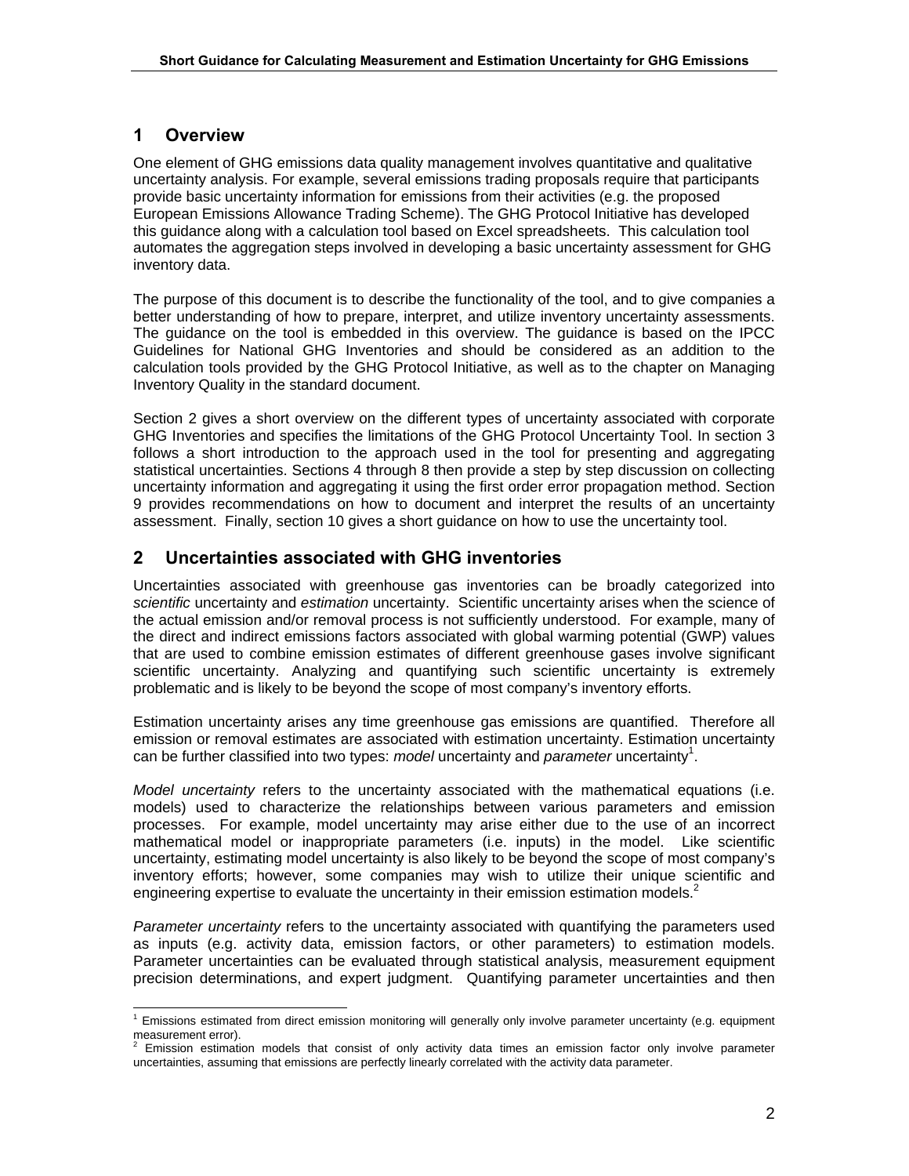### **1 Overview**

One element of GHG emissions data quality management involves quantitative and qualitative uncertainty analysis. For example, several emissions trading proposals require that participants provide basic uncertainty information for emissions from their activities (e.g. the proposed European Emissions Allowance Trading Scheme). The GHG Protocol Initiative has developed this guidance along with a calculation tool based on Excel spreadsheets. This calculation tool automates the aggregation steps involved in developing a basic uncertainty assessment for GHG inventory data.

The purpose of this document is to describe the functionality of the tool, and to give companies a better understanding of how to prepare, interpret, and utilize inventory uncertainty assessments. The guidance on the tool is embedded in this overview. The guidance is based on the IPCC Guidelines for National GHG Inventories and should be considered as an addition to the calculation tools provided by the GHG Protocol Initiative, as well as to the chapter on Managing Inventory Quality in the standard document.

Section 2 gives a short overview on the different types of uncertainty associated with corporate GHG Inventories and specifies the limitations of the GHG Protocol Uncertainty Tool. In section 3 follows a short introduction to the approach used in the tool for presenting and aggregating statistical uncertainties. Sections 4 through 8 then provide a step by step discussion on collecting uncertainty information and aggregating it using the first order error propagation method. Section 9 provides recommendations on how to document and interpret the results of an uncertainty assessment. Finally, section 10 gives a short guidance on how to use the uncertainty tool.

## **2 Uncertainties associated with GHG inventories**

Uncertainties associated with greenhouse gas inventories can be broadly categorized into *scientific* uncertainty and *estimation* uncertainty. Scientific uncertainty arises when the science of the actual emission and/or removal process is not sufficiently understood. For example, many of the direct and indirect emissions factors associated with global warming potential (GWP) values that are used to combine emission estimates of different greenhouse gases involve significant scientific uncertainty. Analyzing and quantifying such scientific uncertainty is extremely problematic and is likely to be beyond the scope of most company's inventory efforts.

Estimation uncertainty arises any time greenhouse gas emissions are quantified. Therefore all emission or removal estimates are associated with estimation uncertainty. Estimation uncertainty can be further classified into two types: *model* uncertainty and *parameter* uncertainty<sup>1</sup>.

*Model uncertainty* refers to the uncertainty associated with the mathematical equations (i.e. models) used to characterize the relationships between various parameters and emission processes. For example, model uncertainty may arise either due to the use of an incorrect mathematical model or inappropriate parameters (i.e. inputs) in the model. Like scientific uncertainty, estimating model uncertainty is also likely to be beyond the scope of most company's inventory efforts; however, some companies may wish to utilize their unique scientific and engineering expertise to evaluate the uncertainty in their emission estimation models. $2$ 

*Parameter uncertainty* refers to the uncertainty associated with quantifying the parameters used as inputs (e.g. activity data, emission factors, or other parameters) to estimation models. Parameter uncertainties can be evaluated through statistical analysis, measurement equipment precision determinations, and expert judgment. Quantifying parameter uncertainties and then

 $\frac{1}{1}$  $1$  Emissions estimated from direct emission monitoring will generally only involve parameter uncertainty (e.g. equipment measurement error).

<sup>2</sup> Emission estimation models that consist of only activity data times an emission factor only involve parameter uncertainties, assuming that emissions are perfectly linearly correlated with the activity data parameter.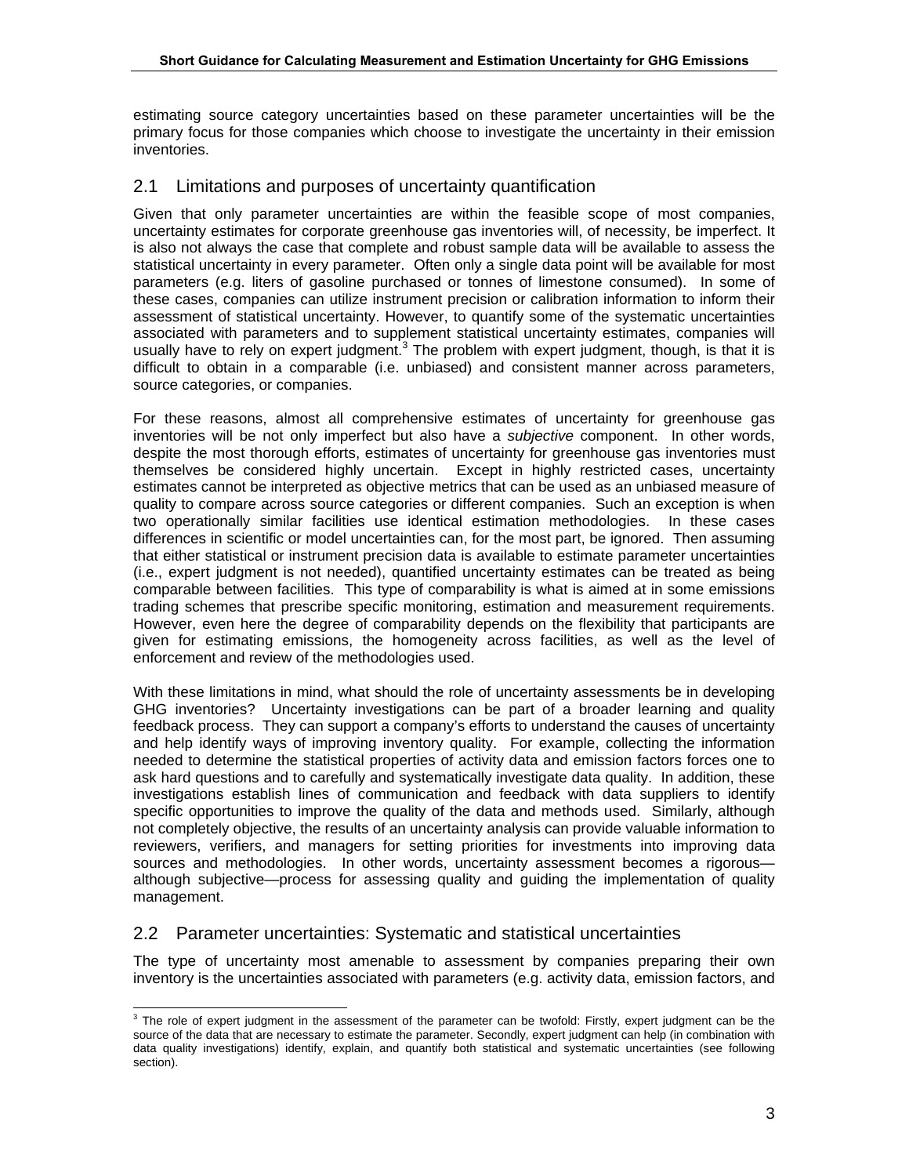estimating source category uncertainties based on these parameter uncertainties will be the primary focus for those companies which choose to investigate the uncertainty in their emission inventories.

## 2.1 Limitations and purposes of uncertainty quantification

Given that only parameter uncertainties are within the feasible scope of most companies, uncertainty estimates for corporate greenhouse gas inventories will, of necessity, be imperfect. It is also not always the case that complete and robust sample data will be available to assess the statistical uncertainty in every parameter. Often only a single data point will be available for most parameters (e.g. liters of gasoline purchased or tonnes of limestone consumed). In some of these cases, companies can utilize instrument precision or calibration information to inform their assessment of statistical uncertainty. However, to quantify some of the systematic uncertainties associated with parameters and to supplement statistical uncertainty estimates, companies will usually have to rely on expert judgment.<sup>3</sup> The problem with expert judgment, though, is that it is difficult to obtain in a comparable (i.e. unbiased) and consistent manner across parameters, source categories, or companies.

For these reasons, almost all comprehensive estimates of uncertainty for greenhouse gas inventories will be not only imperfect but also have a *subjective* component. In other words, despite the most thorough efforts, estimates of uncertainty for greenhouse gas inventories must themselves be considered highly uncertain. Except in highly restricted cases, uncertainty estimates cannot be interpreted as objective metrics that can be used as an unbiased measure of quality to compare across source categories or different companies. Such an exception is when two operationally similar facilities use identical estimation methodologies. In these cases differences in scientific or model uncertainties can, for the most part, be ignored. Then assuming that either statistical or instrument precision data is available to estimate parameter uncertainties (i.e., expert judgment is not needed), quantified uncertainty estimates can be treated as being comparable between facilities. This type of comparability is what is aimed at in some emissions trading schemes that prescribe specific monitoring, estimation and measurement requirements. However, even here the degree of comparability depends on the flexibility that participants are given for estimating emissions, the homogeneity across facilities, as well as the level of enforcement and review of the methodologies used.

With these limitations in mind, what should the role of uncertainty assessments be in developing GHG inventories? Uncertainty investigations can be part of a broader learning and quality feedback process. They can support a company's efforts to understand the causes of uncertainty and help identify ways of improving inventory quality. For example, collecting the information needed to determine the statistical properties of activity data and emission factors forces one to ask hard questions and to carefully and systematically investigate data quality. In addition, these investigations establish lines of communication and feedback with data suppliers to identify specific opportunities to improve the quality of the data and methods used. Similarly, although not completely objective, the results of an uncertainty analysis can provide valuable information to reviewers, verifiers, and managers for setting priorities for investments into improving data sources and methodologies. In other words, uncertainty assessment becomes a rigorous although subjective—process for assessing quality and guiding the implementation of quality management.

### 2.2 Parameter uncertainties: Systematic and statistical uncertainties

The type of uncertainty most amenable to assessment by companies preparing their own inventory is the uncertainties associated with parameters (e.g. activity data, emission factors, and

<sup>-&</sup>lt;br>3  $3$  The role of expert judgment in the assessment of the parameter can be twofold: Firstly, expert judgment can be the source of the data that are necessary to estimate the parameter. Secondly, expert judgment can help (in combination with data quality investigations) identify, explain, and quantify both statistical and systematic uncertainties (see following section).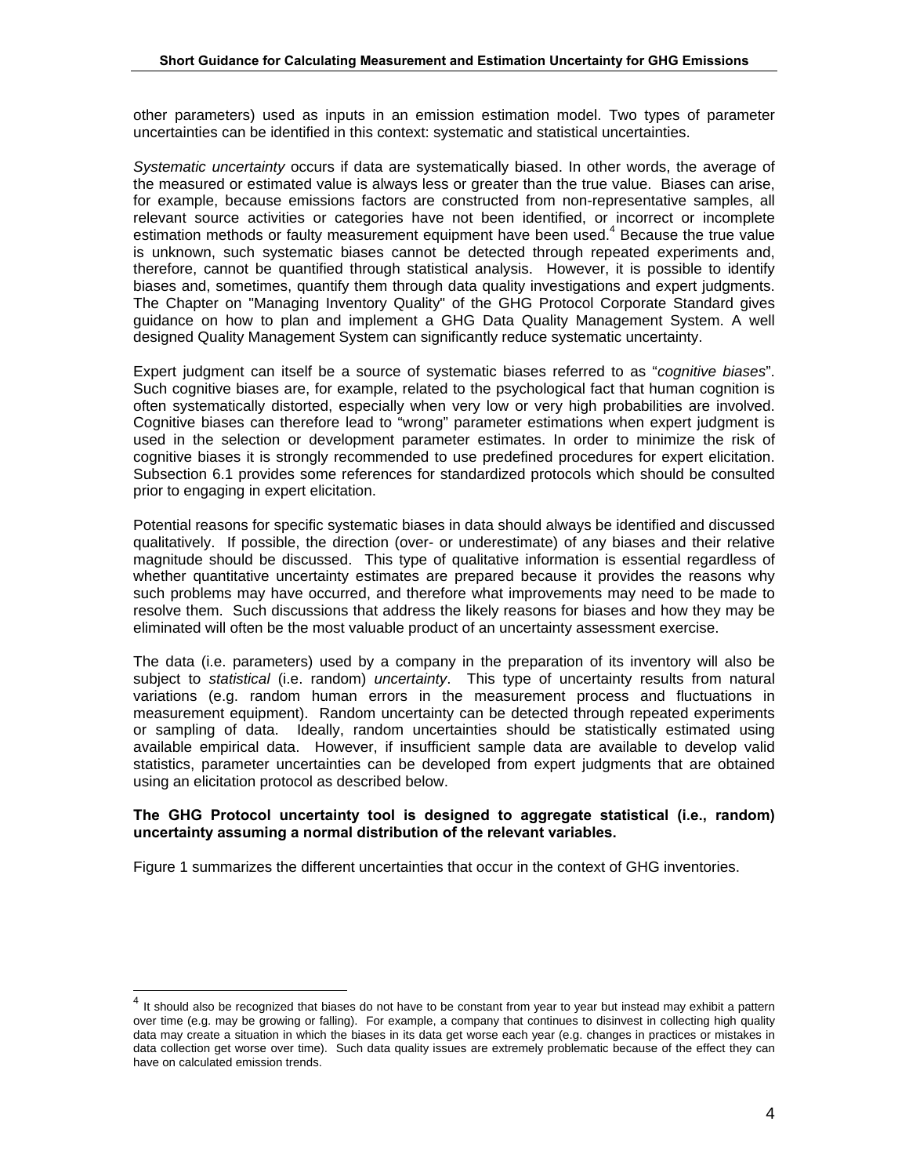other parameters) used as inputs in an emission estimation model. Two types of parameter uncertainties can be identified in this context: systematic and statistical uncertainties.

*Systematic uncertainty* occurs if data are systematically biased. In other words, the average of the measured or estimated value is always less or greater than the true value. Biases can arise, for example, because emissions factors are constructed from non-representative samples, all relevant source activities or categories have not been identified, or incorrect or incomplete estimation methods or faulty measurement equipment have been used.<sup>4</sup> Because the true value is unknown, such systematic biases cannot be detected through repeated experiments and, therefore, cannot be quantified through statistical analysis. However, it is possible to identify biases and, sometimes, quantify them through data quality investigations and expert judgments. The Chapter on "Managing Inventory Quality" of the GHG Protocol Corporate Standard gives guidance on how to plan and implement a GHG Data Quality Management System. A well designed Quality Management System can significantly reduce systematic uncertainty.

Expert judgment can itself be a source of systematic biases referred to as "*cognitive biases*". Such cognitive biases are, for example, related to the psychological fact that human cognition is often systematically distorted, especially when very low or very high probabilities are involved. Cognitive biases can therefore lead to "wrong" parameter estimations when expert judgment is used in the selection or development parameter estimates. In order to minimize the risk of cognitive biases it is strongly recommended to use predefined procedures for expert elicitation. Subsection 6.1 provides some references for standardized protocols which should be consulted prior to engaging in expert elicitation.

Potential reasons for specific systematic biases in data should always be identified and discussed qualitatively. If possible, the direction (over- or underestimate) of any biases and their relative magnitude should be discussed. This type of qualitative information is essential regardless of whether quantitative uncertainty estimates are prepared because it provides the reasons why such problems may have occurred, and therefore what improvements may need to be made to resolve them. Such discussions that address the likely reasons for biases and how they may be eliminated will often be the most valuable product of an uncertainty assessment exercise.

The data (i.e. parameters) used by a company in the preparation of its inventory will also be subject to *statistical* (i.e. random) *uncertainty*. This type of uncertainty results from natural variations (e.g. random human errors in the measurement process and fluctuations in measurement equipment). Random uncertainty can be detected through repeated experiments or sampling of data. Ideally, random uncertainties should be statistically estimated using available empirical data. However, if insufficient sample data are available to develop valid statistics, parameter uncertainties can be developed from expert judgments that are obtained using an elicitation protocol as described below.

#### **The GHG Protocol uncertainty tool is designed to aggregate statistical (i.e., random) uncertainty assuming a normal distribution of the relevant variables.**

Figure 1 summarizes the different uncertainties that occur in the context of GHG inventories.

<sup>&</sup>lt;sup>4</sup> It should also be recognized that biases do not have to be constant from year to year but instead may exhibit a pattern over time (e.g. may be growing or falling). For example, a company that continues to disinvest in collecting high quality data may create a situation in which the biases in its data get worse each year (e.g. changes in practices or mistakes in data collection get worse over time). Such data quality issues are extremely problematic because of the effect they can have on calculated emission trends.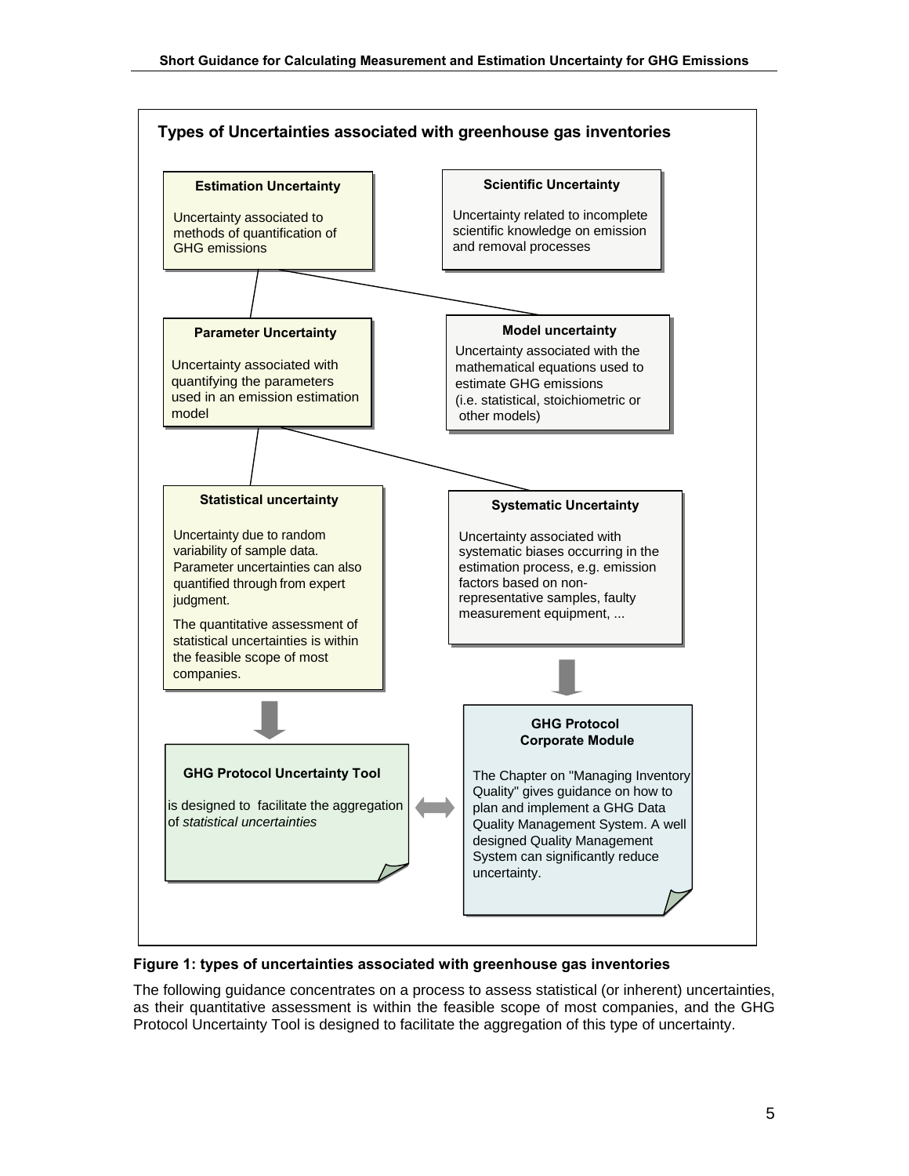

#### **Figure 1: types of uncertainties associated with greenhouse gas inventories**

The following guidance concentrates on a process to assess statistical (or inherent) uncertainties, as their quantitative assessment is within the feasible scope of most companies, and the GHG Protocol Uncertainty Tool is designed to facilitate the aggregation of this type of uncertainty.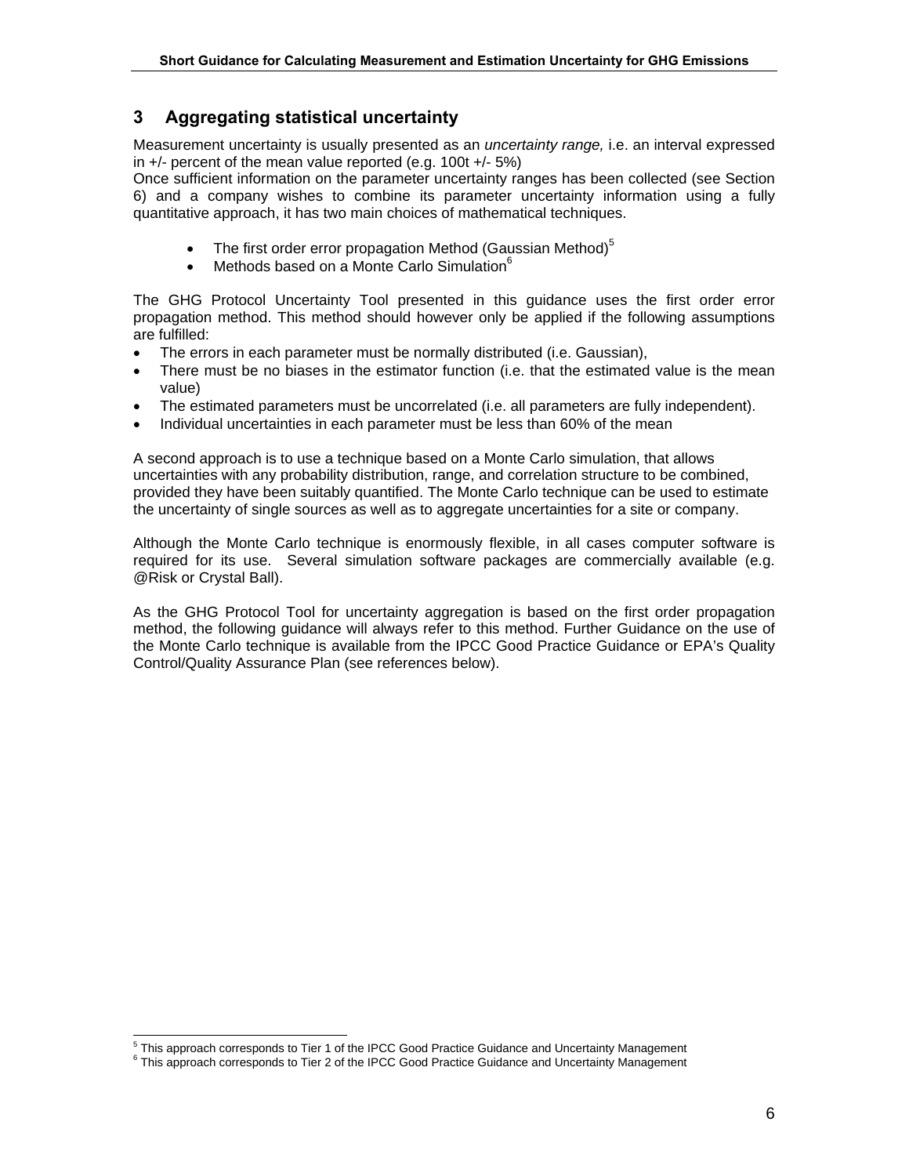## **3 Aggregating statistical uncertainty**

Measurement uncertainty is usually presented as an *uncertainty range,* i.e. an interval expressed in +/- percent of the mean value reported (e.g. 100t +/- 5%)

Once sufficient information on the parameter uncertainty ranges has been collected (see Section 6) and a company wishes to combine its parameter uncertainty information using a fully quantitative approach, it has two main choices of mathematical techniques.

- The first order error propagation Method (Gaussian Method) $5$
- Methods based on a Monte Carlo Simulation $^6$

The GHG Protocol Uncertainty Tool presented in this guidance uses the first order error propagation method. This method should however only be applied if the following assumptions are fulfilled:

- The errors in each parameter must be normally distributed (i.e. Gaussian),
- There must be no biases in the estimator function (i.e. that the estimated value is the mean value)
- The estimated parameters must be uncorrelated (i.e. all parameters are fully independent).
- Individual uncertainties in each parameter must be less than 60% of the mean

A second approach is to use a technique based on a Monte Carlo simulation, that allows uncertainties with any probability distribution, range, and correlation structure to be combined, provided they have been suitably quantified. The Monte Carlo technique can be used to estimate the uncertainty of single sources as well as to aggregate uncertainties for a site or company.

Although the Monte Carlo technique is enormously flexible, in all cases computer software is required for its use. Several simulation software packages are commercially available (e.g. @Risk or Crystal Ball).

As the GHG Protocol Tool for uncertainty aggregation is based on the first order propagation method, the following guidance will always refer to this method. Further Guidance on the use of the Monte Carlo technique is available from the IPCC Good Practice Guidance or EPA's Quality Control/Quality Assurance Plan (see references below).

<sup>-&</sup>lt;br>5

 $^{\circ}$  This approach corresponds to Tier 1 of the IPCC Good Practice Guidance and Uncertainty Management<br> $^{\circ}$  This approach corresponds to Tier 2 of the IPCC Good Practice Guidance and Uncertainty Management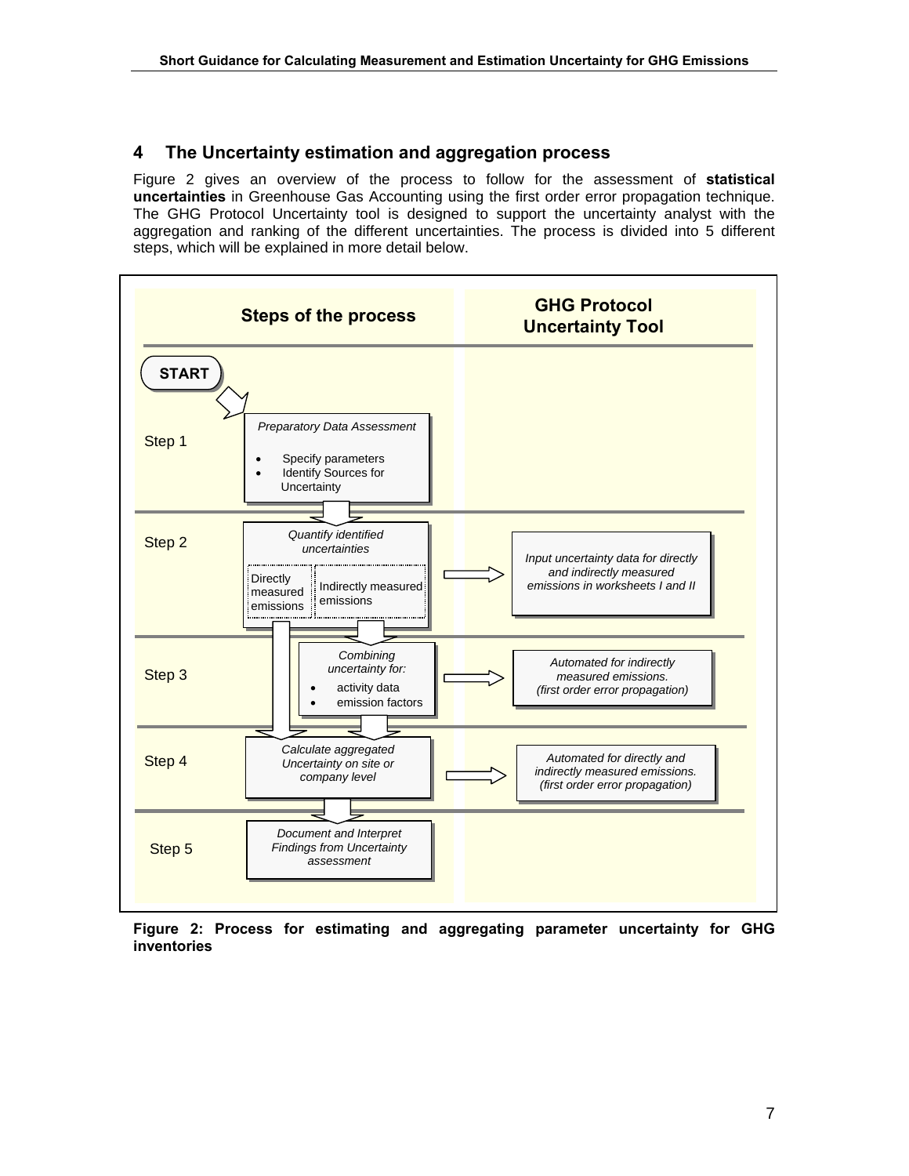## **4 The Uncertainty estimation and aggregation process**

Figure 2 gives an overview of the process to follow for the assessment of **statistical uncertainties** in Greenhouse Gas Accounting using the first order error propagation technique. The GHG Protocol Uncertainty tool is designed to support the uncertainty analyst with the aggregation and ranking of the different uncertainties. The process is divided into 5 different steps, which will be explained in more detail below.



**Figure 2: Process for estimating and aggregating parameter uncertainty for GHG inventories**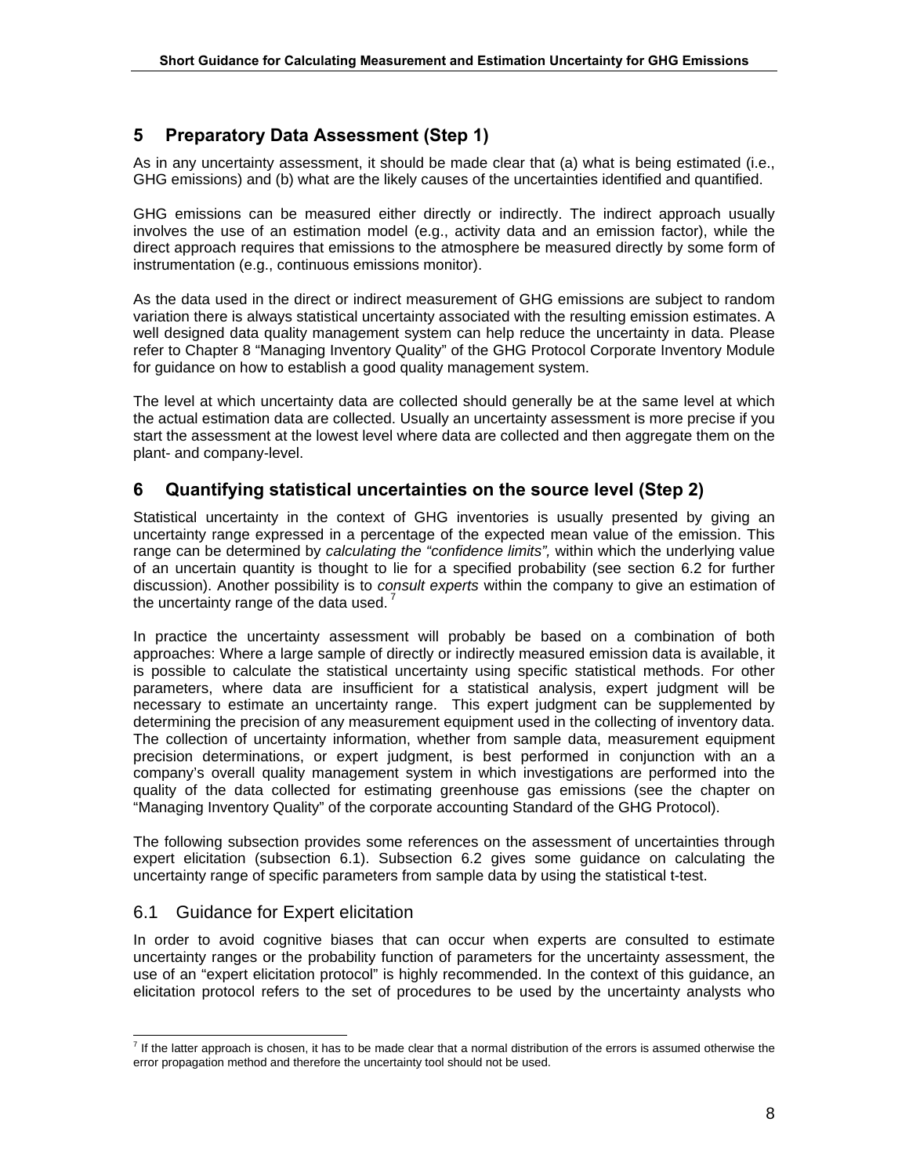## **5 Preparatory Data Assessment (Step 1)**

As in any uncertainty assessment, it should be made clear that (a) what is being estimated (i.e., GHG emissions) and (b) what are the likely causes of the uncertainties identified and quantified.

GHG emissions can be measured either directly or indirectly. The indirect approach usually involves the use of an estimation model (e.g., activity data and an emission factor), while the direct approach requires that emissions to the atmosphere be measured directly by some form of instrumentation (e.g., continuous emissions monitor).

As the data used in the direct or indirect measurement of GHG emissions are subject to random variation there is always statistical uncertainty associated with the resulting emission estimates. A well designed data quality management system can help reduce the uncertainty in data. Please refer to Chapter 8 "Managing Inventory Quality" of the GHG Protocol Corporate Inventory Module for guidance on how to establish a good quality management system.

The level at which uncertainty data are collected should generally be at the same level at which the actual estimation data are collected. Usually an uncertainty assessment is more precise if you start the assessment at the lowest level where data are collected and then aggregate them on the plant- and company-level.

## **6 Quantifying statistical uncertainties on the source level (Step 2)**

Statistical uncertainty in the context of GHG inventories is usually presented by giving an uncertainty range expressed in a percentage of the expected mean value of the emission. This range can be determined by *calculating the "confidence limits",* within which the underlying value of an uncertain quantity is thought to lie for a specified probability (see section 6.2 for further discussion). Another possibility is to *consult experts* within the company to give an estimation of the uncertainty range of the data used.<sup>7</sup>

In practice the uncertainty assessment will probably be based on a combination of both approaches: Where a large sample of directly or indirectly measured emission data is available, it is possible to calculate the statistical uncertainty using specific statistical methods. For other parameters, where data are insufficient for a statistical analysis, expert judgment will be necessary to estimate an uncertainty range. This expert judgment can be supplemented by determining the precision of any measurement equipment used in the collecting of inventory data. The collection of uncertainty information, whether from sample data, measurement equipment precision determinations, or expert judgment, is best performed in conjunction with an a company's overall quality management system in which investigations are performed into the quality of the data collected for estimating greenhouse gas emissions (see the chapter on "Managing Inventory Quality" of the corporate accounting Standard of the GHG Protocol).

The following subsection provides some references on the assessment of uncertainties through expert elicitation (subsection 6.1). Subsection 6.2 gives some guidance on calculating the uncertainty range of specific parameters from sample data by using the statistical t-test.

### 6.1 Guidance for Expert elicitation

In order to avoid cognitive biases that can occur when experts are consulted to estimate uncertainty ranges or the probability function of parameters for the uncertainty assessment, the use of an "expert elicitation protocol" is highly recommended. In the context of this guidance, an elicitation protocol refers to the set of procedures to be used by the uncertainty analysts who

 $\frac{1}{7}$  $<sup>7</sup>$  If the latter approach is chosen, it has to be made clear that a normal distribution of the errors is assumed otherwise the</sup> error propagation method and therefore the uncertainty tool should not be used.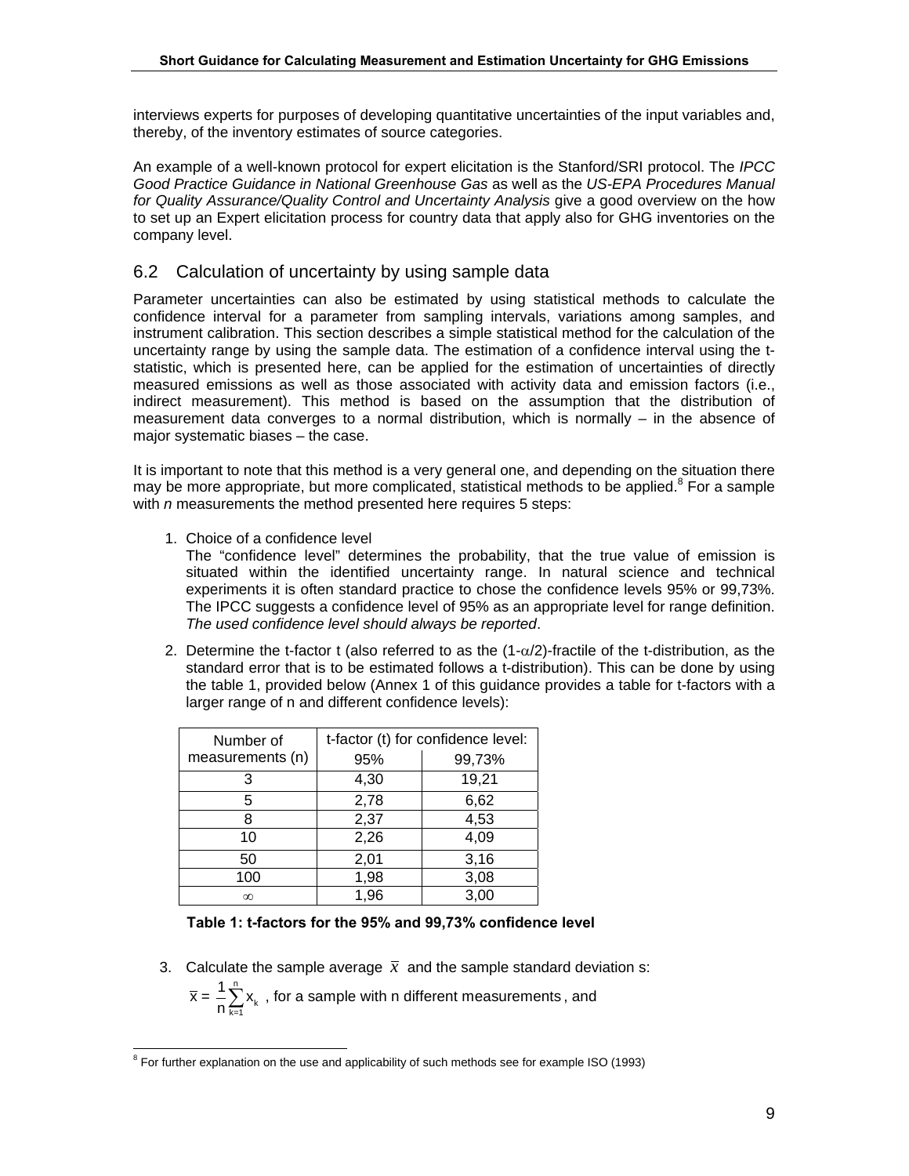interviews experts for purposes of developing quantitative uncertainties of the input variables and, thereby, of the inventory estimates of source categories.

An example of a well-known protocol for expert elicitation is the Stanford/SRI protocol. The *IPCC Good Practice Guidance in National Greenhouse Gas* as well as the *US-EPA Procedures Manual*  for Quality Assurance/Quality Control and Uncertainty Analysis give a good overview on the how to set up an Expert elicitation process for country data that apply also for GHG inventories on the company level.

## 6.2 Calculation of uncertainty by using sample data

Parameter uncertainties can also be estimated by using statistical methods to calculate the confidence interval for a parameter from sampling intervals, variations among samples, and instrument calibration. This section describes a simple statistical method for the calculation of the uncertainty range by using the sample data. The estimation of a confidence interval using the tstatistic, which is presented here, can be applied for the estimation of uncertainties of directly measured emissions as well as those associated with activity data and emission factors (i.e., indirect measurement). This method is based on the assumption that the distribution of measurement data converges to a normal distribution, which is normally – in the absence of major systematic biases – the case.

It is important to note that this method is a very general one, and depending on the situation there may be more appropriate, but more complicated, statistical methods to be applied.<sup>8</sup> For a sample with *n* measurements the method presented here requires 5 steps:

1. Choice of a confidence level

The "confidence level" determines the probability, that the true value of emission is situated within the identified uncertainty range. In natural science and technical experiments it is often standard practice to chose the confidence levels 95% or 99,73%. The IPCC suggests a confidence level of 95% as an appropriate level for range definition. *The used confidence level should always be reported*.

2. Determine the t-factor t (also referred to as the  $(1-\alpha/2)$ -fractile of the t-distribution, as the standard error that is to be estimated follows a t-distribution). This can be done by using the table 1, provided below (Annex 1 of this guidance provides a table for t-factors with a larger range of n and different confidence levels):

| Number of        | t-factor (t) for confidence level: |        |  |  |
|------------------|------------------------------------|--------|--|--|
| measurements (n) | 95%                                | 99,73% |  |  |
| 3                | 4,30                               | 19,21  |  |  |
| 5                | 2,78                               | 6,62   |  |  |
| 8                | 2,37                               | 4,53   |  |  |
| 10               | 2,26                               | 4,09   |  |  |
| 50               | 2,01                               | 3,16   |  |  |
| 100              | 1,98                               | 3,08   |  |  |
| $\infty$         | 1,96                               | 3,00   |  |  |

#### **Table 1: t-factors for the 95% and 99,73% confidence level**

3. Calculate the sample average  $\bar{x}$  and the sample standard deviation s:

∠ ^k<br><sub>k=1</sub>  $\overline{x} = \frac{1}{n} \sum_{k=1}^{n} x_k$  , for a sample with n different measurements , and

 $\frac{1}{8}$ <sup>8</sup> For further explanation on the use and applicability of such methods see for example ISO (1993)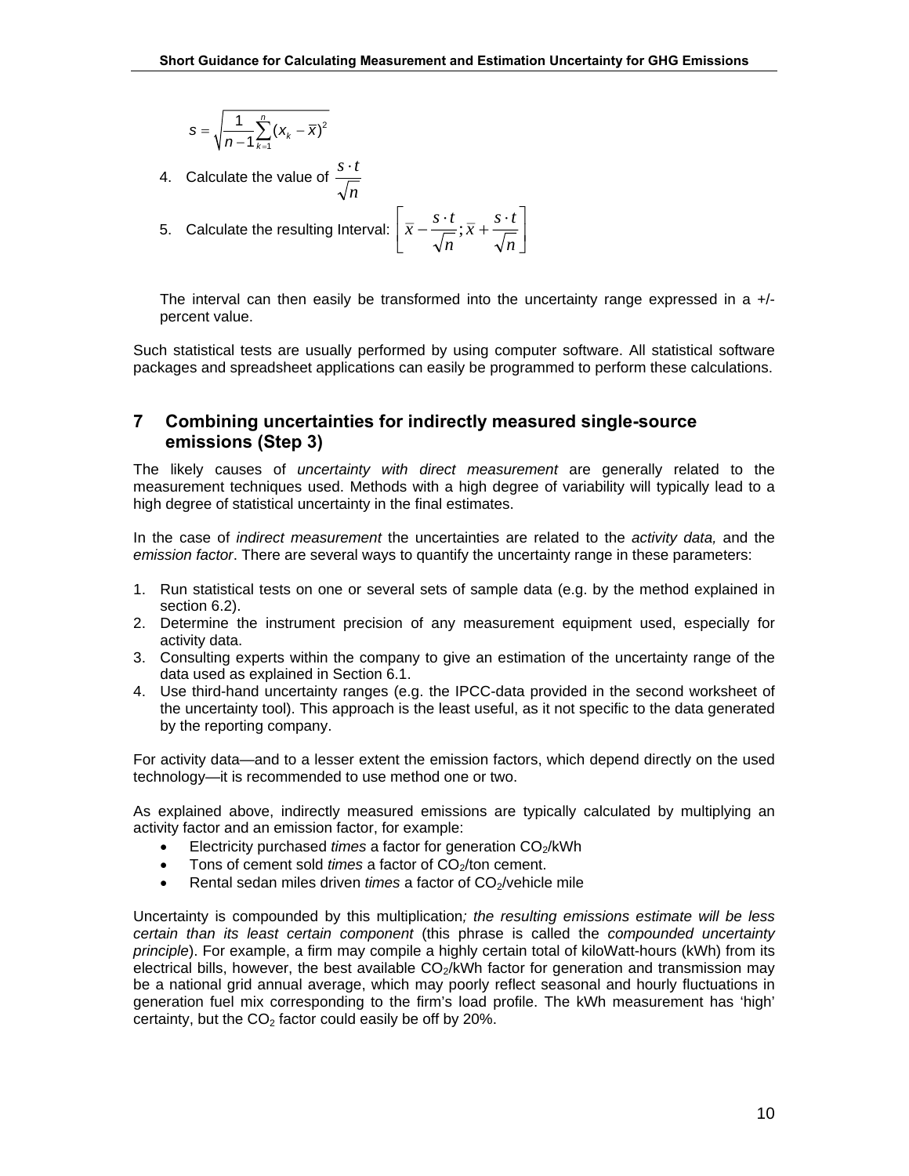$$
s = \sqrt{\frac{1}{n-1}\sum_{k=1}^n (x_k - \overline{x})^2}
$$

4. Calculate the value of *n s*⋅*t*

5. Calculate the resulting interval: 
$$
\left[\overline{x} - \frac{s \cdot t}{\sqrt{n}}; \overline{x} + \frac{s \cdot t}{\sqrt{n}}\right]
$$

The interval can then easily be transformed into the uncertainty range expressed in a  $+/$ percent value.

Such statistical tests are usually performed by using computer software. All statistical software packages and spreadsheet applications can easily be programmed to perform these calculations.

#### **7 Combining uncertainties for indirectly measured single-source emissions (Step 3)**

The likely causes of *uncertainty with direct measurement* are generally related to the measurement techniques used. Methods with a high degree of variability will typically lead to a high degree of statistical uncertainty in the final estimates.

In the case of *indirect measurement* the uncertainties are related to the *activity data,* and the *emission factor*. There are several ways to quantify the uncertainty range in these parameters:

- 1. Run statistical tests on one or several sets of sample data (e.g. by the method explained in section 6.2).
- 2. Determine the instrument precision of any measurement equipment used, especially for activity data.
- 3. Consulting experts within the company to give an estimation of the uncertainty range of the data used as explained in Section 6.1.
- 4. Use third-hand uncertainty ranges (e.g. the IPCC-data provided in the second worksheet of the uncertainty tool). This approach is the least useful, as it not specific to the data generated by the reporting company.

For activity data—and to a lesser extent the emission factors, which depend directly on the used technology—it is recommended to use method one or two.

As explained above, indirectly measured emissions are typically calculated by multiplying an activity factor and an emission factor, for example:

- Electricity purchased *times* a factor for generation CO<sub>2</sub>/kWh
- Tons of cement sold *times* a factor of CO<sub>2</sub>/ton cement.
- Rental sedan miles driven *times* a factor of CO<sub>2</sub>/vehicle mile

Uncertainty is compounded by this multiplication*; the resulting emissions estimate will be less certain than its least certain component* (this phrase is called the *compounded uncertainty principle*). For example, a firm may compile a highly certain total of kiloWatt-hours (kWh) from its electrical bills, however, the best available  $CO<sub>2</sub>/kWh$  factor for generation and transmission may be a national grid annual average, which may poorly reflect seasonal and hourly fluctuations in generation fuel mix corresponding to the firm's load profile. The kWh measurement has 'high' certainty, but the  $CO<sub>2</sub>$  factor could easily be off by 20%.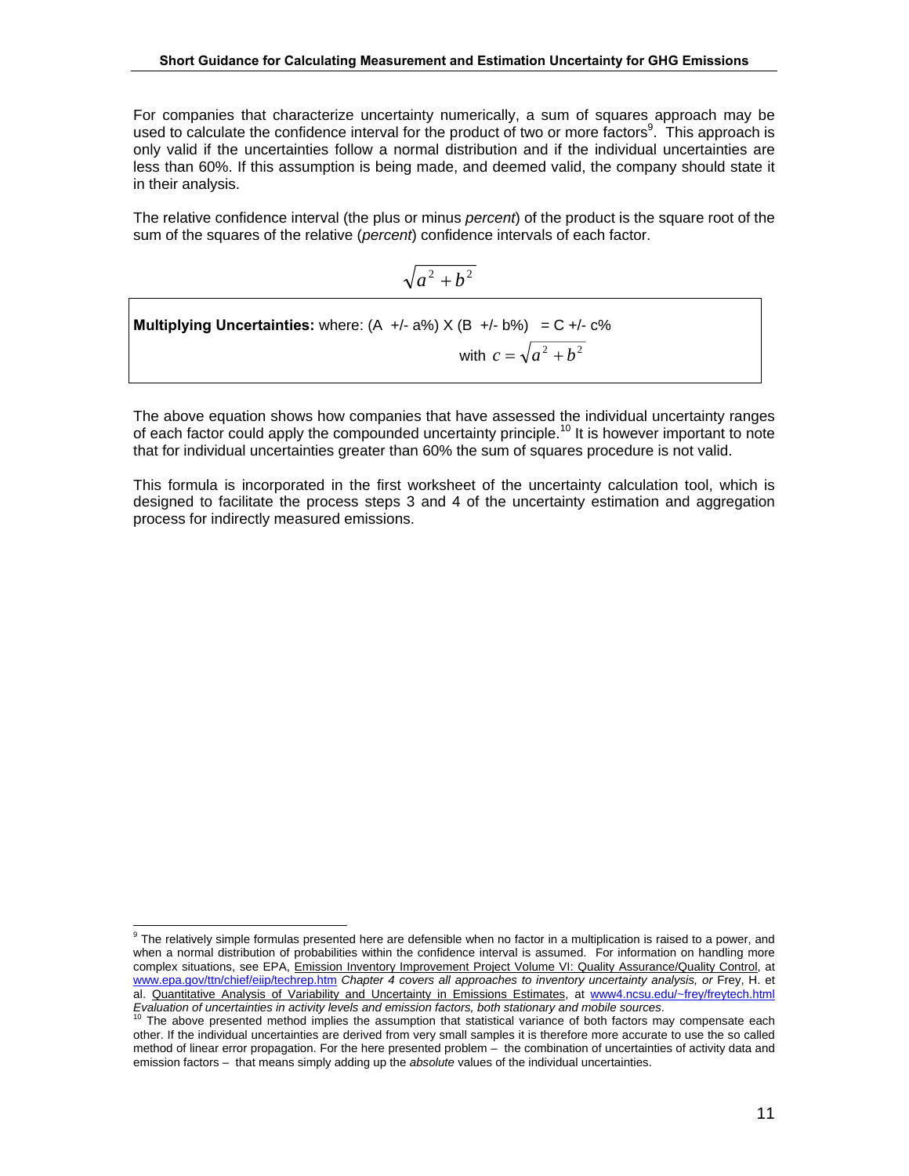For companies that characterize uncertainty numerically, a sum of squares approach may be used to calculate the confidence interval for the product of two or more factors<sup>9</sup>. This approach is only valid if the uncertainties follow a normal distribution and if the individual uncertainties are less than 60%. If this assumption is being made, and deemed valid, the company should state it in their analysis.

The relative confidence interval (the plus or minus *percent*) of the product is the square root of the sum of the squares of the relative (*percent*) confidence intervals of each factor.

$$
\sqrt{a^2 + b^2}
$$

Multiplying Uncertainties: where: (A +/- a%) X (B +/- b%) = C +/- c%  
with 
$$
c = \sqrt{a^2 + b^2}
$$

The above equation shows how companies that have assessed the individual uncertainty ranges of each factor could apply the compounded uncertainty principle.<sup>10</sup> It is however important to note that for individual uncertainties greater than 60% the sum of squares procedure is not valid.

This formula is incorporated in the first worksheet of the uncertainty calculation tool, which is designed to facilitate the process steps 3 and 4 of the uncertainty estimation and aggregation process for indirectly measured emissions.

<sup>-&</sup>lt;br>9 <sup>9</sup> The relatively simple formulas presented here are defensible when no factor in a multiplication is raised to a power, and when a normal distribution of probabilities within the confidence interval is assumed. For information on handling more complex situations, see EPA, Emission Inventory Improvement Project Volume VI: Quality Assurance/Quality Control, at www.epa.gov/ttn/chief/eiip/techrep.htm *Chapter 4 covers all approaches to inventory uncertainty analysis, or Frey, H. et* al. Quantitative Analysis of Variability and Uncertainty in Emissions Estimates, at www4.ncsu.edu/~frey/freytech.html<br>Evaluation of uncertainties in activity levels and emission factors, both stationary and mobile sources.

The above presented method implies the assumption that statistical variance of both factors may compensate each other. If the individual uncertainties are derived from very small samples it is therefore more accurate to use the so called method of linear error propagation. For the here presented problem – the combination of uncertainties of activity data and emission factors – that means simply adding up the *absolute* values of the individual uncertainties.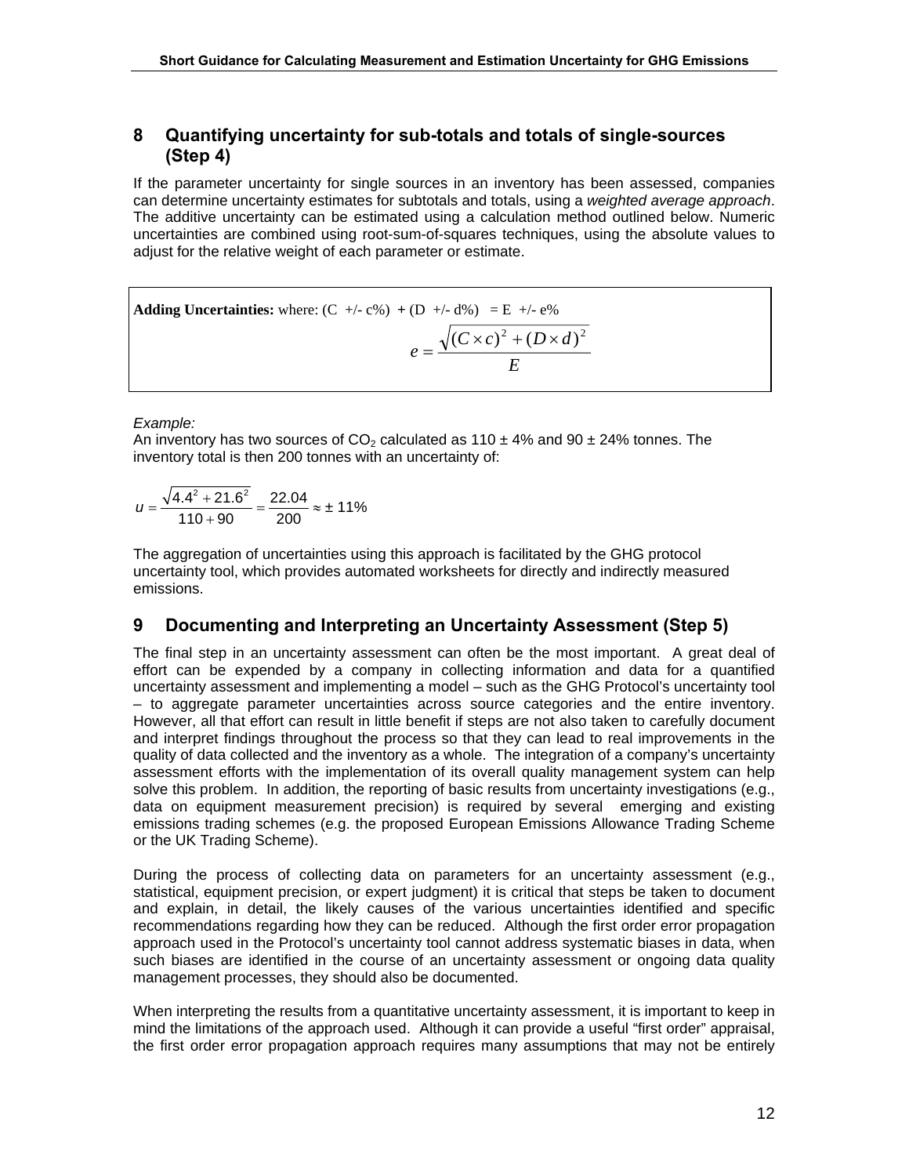## **8 Quantifying uncertainty for sub-totals and totals of single-sources (Step 4)**

If the parameter uncertainty for single sources in an inventory has been assessed, companies can determine uncertainty estimates for subtotals and totals, using a *weighted average approach*. The additive uncertainty can be estimated using a calculation method outlined below. Numeric uncertainties are combined using root-sum-of-squares techniques, using the absolute values to adjust for the relative weight of each parameter or estimate.

Adding Uncertainties: where: (C +/- c%) + (D +/- d%) = E +/- e%  

$$
e = \frac{\sqrt{(C \times c)^2 + (D \times d)^2}}{E}
$$

#### *Example:*

An inventory has two sources of  $CO<sub>2</sub>$  calculated as 110  $\pm$  4% and 90  $\pm$  24% tonnes. The inventory total is then 200 tonnes with an uncertainty of:

$$
u = \frac{\sqrt{4.4^2 + 21.6^2}}{110 + 90} = \frac{22.04}{200} \approx \pm 11\%
$$

The aggregation of uncertainties using this approach is facilitated by the GHG protocol uncertainty tool, which provides automated worksheets for directly and indirectly measured emissions.

### **9 Documenting and Interpreting an Uncertainty Assessment (Step 5)**

The final step in an uncertainty assessment can often be the most important. A great deal of effort can be expended by a company in collecting information and data for a quantified uncertainty assessment and implementing a model – such as the GHG Protocol's uncertainty tool – to aggregate parameter uncertainties across source categories and the entire inventory. However, all that effort can result in little benefit if steps are not also taken to carefully document and interpret findings throughout the process so that they can lead to real improvements in the quality of data collected and the inventory as a whole. The integration of a company's uncertainty assessment efforts with the implementation of its overall quality management system can help solve this problem. In addition, the reporting of basic results from uncertainty investigations (e.g., data on equipment measurement precision) is required by several emerging and existing emissions trading schemes (e.g. the proposed European Emissions Allowance Trading Scheme or the UK Trading Scheme).

During the process of collecting data on parameters for an uncertainty assessment (e.g., statistical, equipment precision, or expert judgment) it is critical that steps be taken to document and explain, in detail, the likely causes of the various uncertainties identified and specific recommendations regarding how they can be reduced. Although the first order error propagation approach used in the Protocol's uncertainty tool cannot address systematic biases in data, when such biases are identified in the course of an uncertainty assessment or ongoing data quality management processes, they should also be documented.

When interpreting the results from a quantitative uncertainty assessment, it is important to keep in mind the limitations of the approach used. Although it can provide a useful "first order" appraisal, the first order error propagation approach requires many assumptions that may not be entirely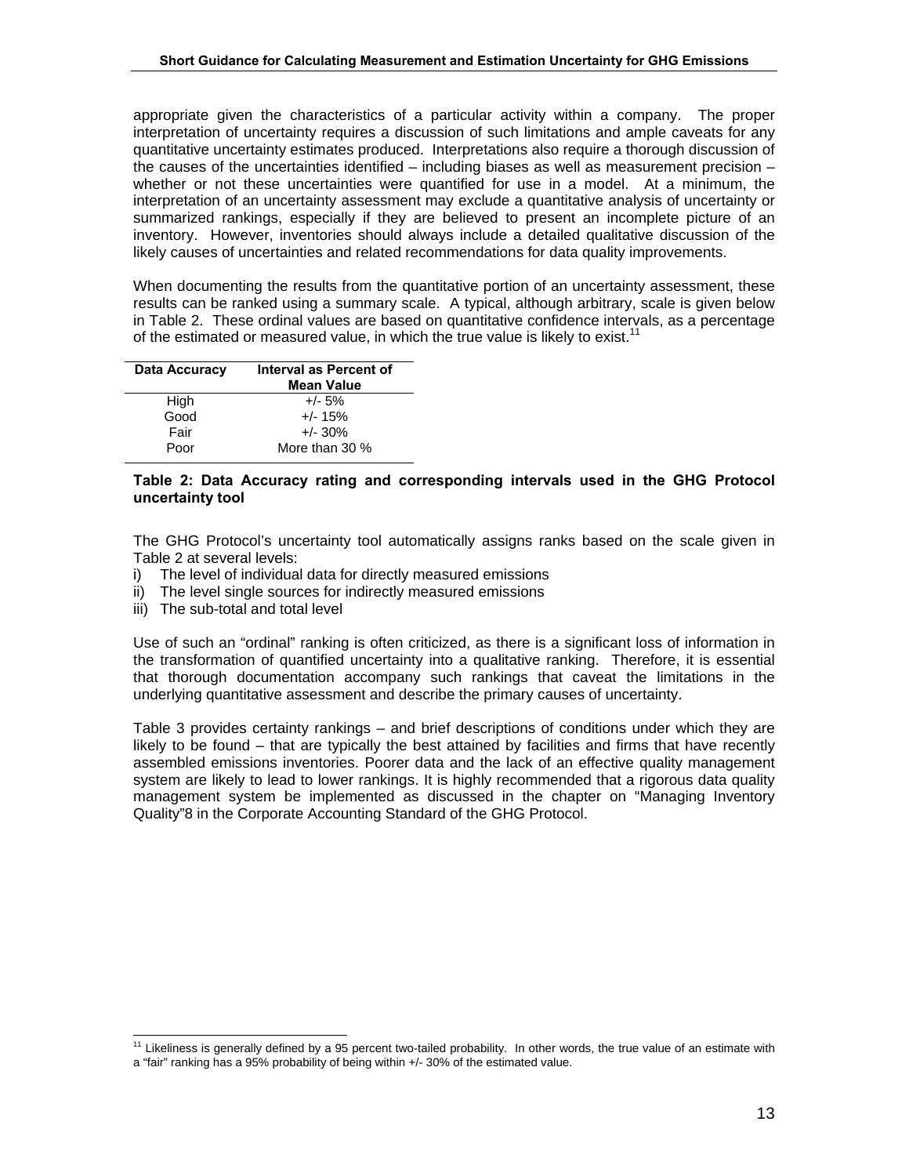appropriate given the characteristics of a particular activity within a company. The proper interpretation of uncertainty requires a discussion of such limitations and ample caveats for any quantitative uncertainty estimates produced. Interpretations also require a thorough discussion of the causes of the uncertainties identified – including biases as well as measurement precision – whether or not these uncertainties were quantified for use in a model. At a minimum, the interpretation of an uncertainty assessment may exclude a quantitative analysis of uncertainty or summarized rankings, especially if they are believed to present an incomplete picture of an inventory. However, inventories should always include a detailed qualitative discussion of the likely causes of uncertainties and related recommendations for data quality improvements.

When documenting the results from the quantitative portion of an uncertainty assessment, these results can be ranked using a summary scale. A typical, although arbitrary, scale is given below in Table 2. These ordinal values are based on quantitative confidence intervals, as a percentage of the estimated or measured value, in which the true value is likely to exist.<sup>11</sup>

| Data Accuracy | Interval as Percent of<br><b>Mean Value</b> |  |  |
|---------------|---------------------------------------------|--|--|
| High          | $+/- 5%$                                    |  |  |
| Good          | $+/- 15%$                                   |  |  |
| Fair          | $+/- 30\%$                                  |  |  |
| Poor          | More than 30 %                              |  |  |

#### **Table 2: Data Accuracy rating and corresponding intervals used in the GHG Protocol uncertainty tool**

The GHG Protocol's uncertainty tool automatically assigns ranks based on the scale given in Table 2 at several levels:

- i) The level of individual data for directly measured emissions
- ii) The level single sources for indirectly measured emissions
- iii) The sub-total and total level

Use of such an "ordinal" ranking is often criticized, as there is a significant loss of information in the transformation of quantified uncertainty into a qualitative ranking. Therefore, it is essential that thorough documentation accompany such rankings that caveat the limitations in the underlying quantitative assessment and describe the primary causes of uncertainty.

Table 3 provides certainty rankings – and brief descriptions of conditions under which they are likely to be found – that are typically the best attained by facilities and firms that have recently assembled emissions inventories. Poorer data and the lack of an effective quality management system are likely to lead to lower rankings. It is highly recommended that a rigorous data quality management system be implemented as discussed in the chapter on "Managing Inventory Quality"8 in the Corporate Accounting Standard of the GHG Protocol.

<sup>&</sup>lt;sup>11</sup> Likeliness is generally defined by a 95 percent two-tailed probability. In other words, the true value of an estimate with a "fair" ranking has a 95% probability of being within +/- 30% of the estimated value.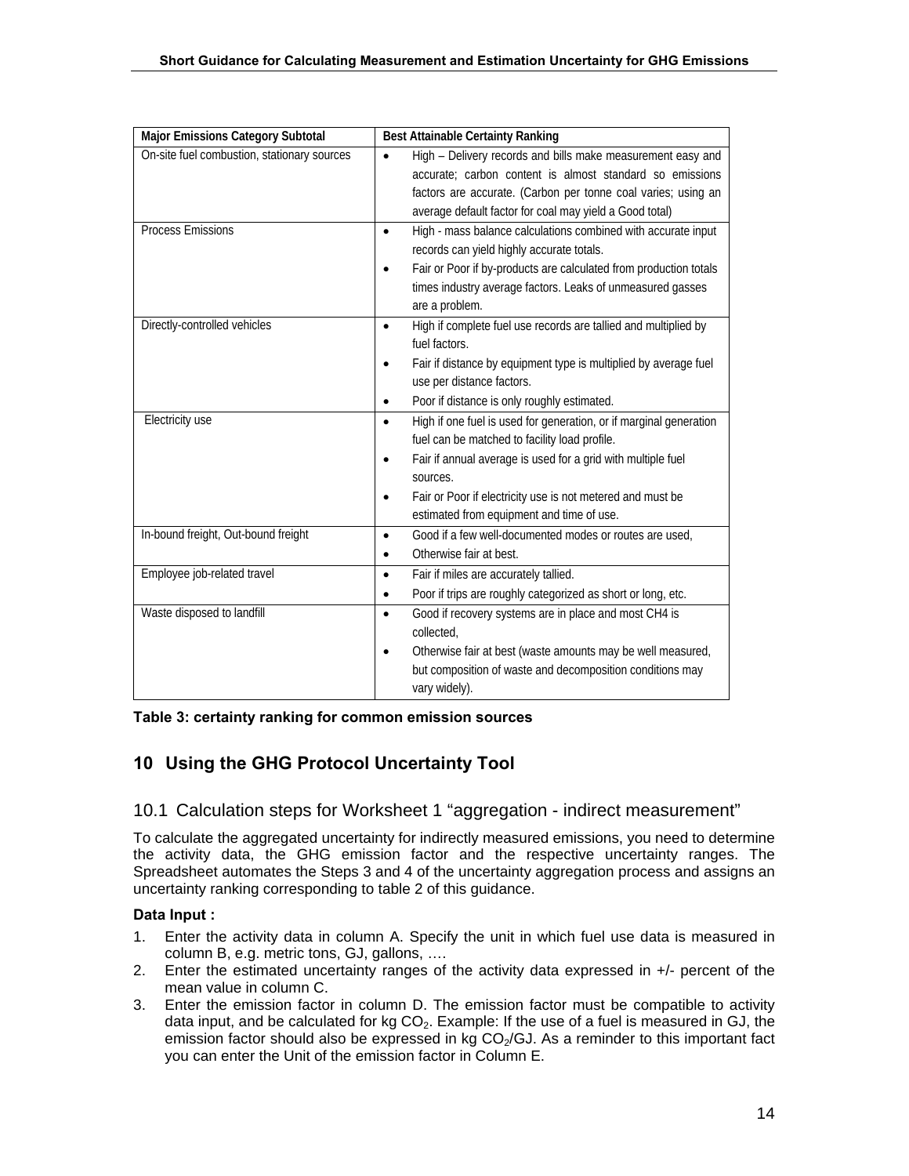| <b>Major Emissions Category Subtotal</b>    | <b>Best Attainable Certainty Ranking</b>                                        |  |  |  |
|---------------------------------------------|---------------------------------------------------------------------------------|--|--|--|
| On-site fuel combustion, stationary sources | High - Delivery records and bills make measurement easy and                     |  |  |  |
|                                             | accurate; carbon content is almost standard so emissions                        |  |  |  |
|                                             | factors are accurate. (Carbon per tonne coal varies; using an                   |  |  |  |
|                                             | average default factor for coal may yield a Good total)                         |  |  |  |
| <b>Process Emissions</b>                    | High - mass balance calculations combined with accurate input<br>$\bullet$      |  |  |  |
|                                             | records can yield highly accurate totals.                                       |  |  |  |
|                                             | Fair or Poor if by-products are calculated from production totals               |  |  |  |
|                                             | times industry average factors. Leaks of unmeasured gasses                      |  |  |  |
|                                             | are a problem.                                                                  |  |  |  |
| Directly-controlled vehicles                | High if complete fuel use records are tallied and multiplied by                 |  |  |  |
|                                             | fuel factors.                                                                   |  |  |  |
|                                             | Fair if distance by equipment type is multiplied by average fuel                |  |  |  |
|                                             | use per distance factors.                                                       |  |  |  |
|                                             | Poor if distance is only roughly estimated.                                     |  |  |  |
| Electricity use                             | High if one fuel is used for generation, or if marginal generation<br>$\bullet$ |  |  |  |
|                                             | fuel can be matched to facility load profile.                                   |  |  |  |
|                                             | Fair if annual average is used for a grid with multiple fuel                    |  |  |  |
|                                             | sources.                                                                        |  |  |  |
|                                             | Fair or Poor if electricity use is not metered and must be                      |  |  |  |
|                                             | estimated from equipment and time of use.                                       |  |  |  |
| In-bound freight, Out-bound freight         | Good if a few well-documented modes or routes are used,<br>$\bullet$            |  |  |  |
|                                             | Otherwise fair at best.                                                         |  |  |  |
| Employee job-related travel                 | Fair if miles are accurately tallied.<br>$\bullet$                              |  |  |  |
|                                             | Poor if trips are roughly categorized as short or long, etc.<br>٠               |  |  |  |
| Waste disposed to landfill                  | Good if recovery systems are in place and most CH4 is<br>$\bullet$              |  |  |  |
|                                             | collected.                                                                      |  |  |  |
|                                             | Otherwise fair at best (waste amounts may be well measured,                     |  |  |  |
|                                             | but composition of waste and decomposition conditions may                       |  |  |  |
|                                             | vary widely).                                                                   |  |  |  |

**Table 3: certainty ranking for common emission sources** 

## **10 Using the GHG Protocol Uncertainty Tool**

### 10.1 Calculation steps for Worksheet 1 "aggregation - indirect measurement"

To calculate the aggregated uncertainty for indirectly measured emissions, you need to determine the activity data, the GHG emission factor and the respective uncertainty ranges. The Spreadsheet automates the Steps 3 and 4 of the uncertainty ag gregation process and assigns an uncertainty ranking corresponding to table 2 of this guidance.

#### **Data Input :**

- 1. Enter the activity data in column A. Specify the unit in which fuel use data is measured in column B, e.g. metric tons, GJ, gallons, ….
- 2. Enter the estimated uncertainty ranges of the activity data expressed in +/- percent of the mean value in column C.
- you can enter the Unit of the emission factor in Column E. 3. Enter the emission factor in column D. The emission factor must be compatible to activity data input, and be calculated for  $kg CO<sub>2</sub>$ . Example: If the use of a fuel is measured in GJ, the emission factor should also be expressed in kg  $CO<sub>2</sub>/GJ$ . As a reminder to this important fact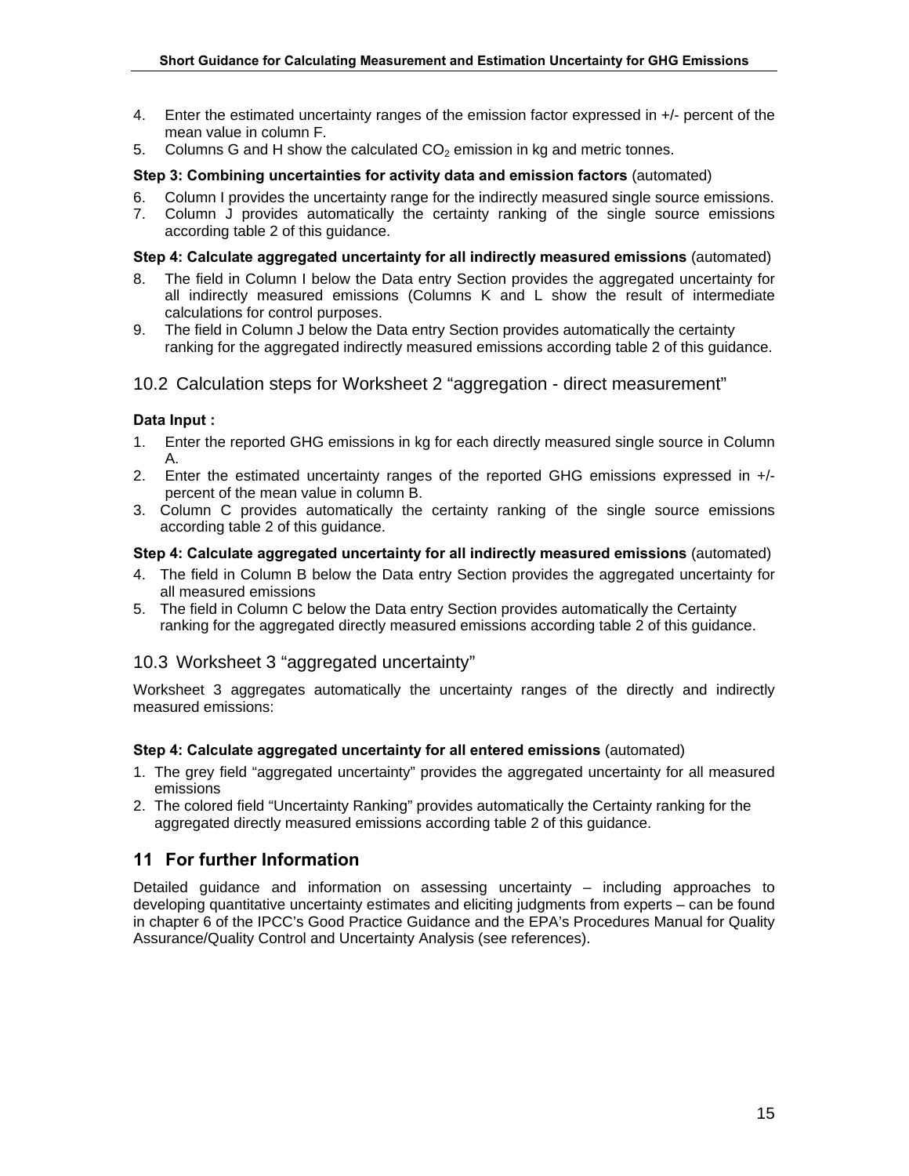- 4. Enter the estimated uncertainty ranges of the emission factor expressed in +/- percent of the mean value in column F.
- 5. Columns G and H show the calculated  $CO<sub>2</sub>$  emission in kg and metric tonnes.

#### **Step 3: Combining uncertainties for activity data and emission factors** (automated)

- 6. Column I provides the uncertainty range for the indirectly measured single source emissions.
- 7. Column J provides automatically the certainty ranking of the single source emissions according table 2 of this guidance.

#### **Step 4: Calculate aggregated uncertainty for all indirectly measured emissions** (automated)

- 8. The field in Column I below the Data entry Section provides the aggregated uncertainty for all indirectly measured emissions (Columns K and L show the result of intermediate calculations for control purposes.
- 9. The field in Column J below the Data entry Section provides automatically the certainty ranking for the aggregated indirectly measured emissions according table 2 of this guidance.

#### 10.2 Calculation steps for Worksheet 2 "aggregation - direct measurement"

#### **Data Input :**

- 1. Enter the reported GHG emissions in kg for each directly measured single source in Column A.
- 2. Enter the estimated uncertainty ranges of the reported GHG emissions expressed in +/ percent of the mean value in column B.
- 3. Column C provides automatically the certainty ranking of the single source emissions according table 2 of this guidance.

#### **Step 4: Calculate aggregated uncertainty for all indirectly measured emissions** (automated)

- 4. The field in Column B below the Data entry Section provides the aggregated uncertainty for all measured emissions
- 5. The field in Column C below the Data entry Section provides automatically the Certainty ranking for the aggregated directly measured emissions according table 2 of this guidance.

### 10.3 Worksheet 3 "aggregated uncertainty"

Worksheet 3 aggregates automatically the uncertainty ranges of the directly and indirectly measured emissions:

#### **Step 4: Calculate aggregated uncertainty for all entered emissions** (automated)

- 1. The grey field "aggregated uncertainty" provides the aggregated uncertainty for all measured emissions
- 2. The colored field "Uncertainty Ranking" provides automatically the Certainty ranking for the aggregated directly measured emissions according table 2 of this guidance.

### **11 For further Information**

Detailed guidance and information on assessing uncertainty – including approaches to developing quantitative uncertainty estimates and eliciting judgments from experts – can be found in chapter 6 of the IPCC's Good Practice Guidance and the EPA's Procedures Manual for Quality Assurance/Quality Control and Uncertainty Analysis (see references).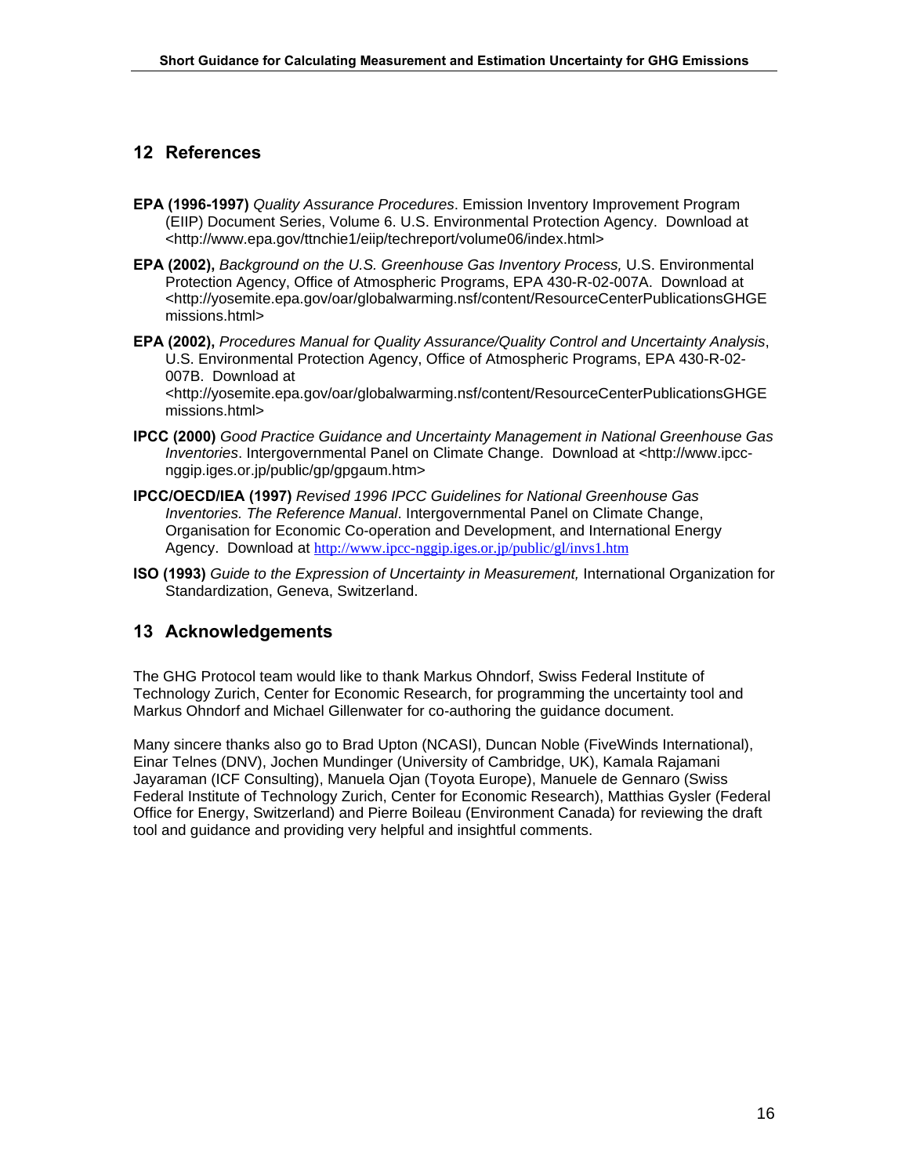## **12 References**

- **EPA (1996-1997)** *Quality Assurance Procedures*. Emission Inventory Improvement Program (EIIP) Document Series, Volume 6. U.S. Environmental Protection Agency. Download at <http://www.epa.gov/ttnchie1/eiip/techreport/volume06/index.html>
- **EPA (2002),** *Background on the U.S. Greenhouse Gas Inventory Process,* U.S. Environmental Protection Agency, Office of Atmospheric Programs, EPA 430-R-02-007A. Download at <http://yosemite.epa.gov/oar/globalwarming.nsf/content/ResourceCenterPublicationsGHGE missions.html>
- **EPA (2002),** *Procedures Manual for Quality Assurance/Quality Control and Uncertainty Analysis*, U.S. Environmental Protection Agency, Office of Atmospheric Programs, EPA 430-R-02- 007B. Download at

<http://yosemite.epa.gov/oar/globalwarming.nsf/content/ResourceCenterPublicationsGHGE missions.html>

- **IPCC (2000)** *Good Practice Guidance and Uncertainty Management in National Greenhouse Gas Inventories*. Intergovernmental Panel on Climate Change. Download at <http://www.ipccnggip.iges.or.jp/public/gp/gpgaum.htm>
- **IPCC/OECD/IEA (1997)** *Revised 1996 IPCC Guidelines for National Greenhouse Gas Inventories. The Reference Manual*. Intergovernmental Panel on Climate Change, Organisation for Economic Co-operation and Development, and International Energy Agency. Download at http://www.ipcc-nggip.iges.or.jp/public/gl/invs1.htm
- **ISO (1993)** *Guide to the Expression of Uncertainty in Measurement,* International Organization for Standardization, Geneva, Switzerland.

### **13 Acknowledgements**

The GHG Protocol team would like to thank Markus Ohndorf, Swiss Federal Institute of Technology Zurich, Center for Economic Research, for programming the uncertainty tool and Markus Ohndorf and Michael Gillenwater for co-authoring the guidance document.

Many sincere thanks also go to Brad Upton (NCASI), Duncan Noble (FiveWinds International), Einar Telnes (DNV), Jochen Mundinger (University of Cambridge, UK), Kamala Rajamani Jayaraman (ICF Consulting), Manuela Ojan (Toyota Europe), Manuele de Gennaro (Swiss Federal Institute of Technology Zurich, Center for Economic Research), Matthias Gysler (Federal Office for Energy, Switzerland) and Pierre Boileau (Environment Canada) for reviewing the draft tool and guidance and providing very helpful and insightful comments.